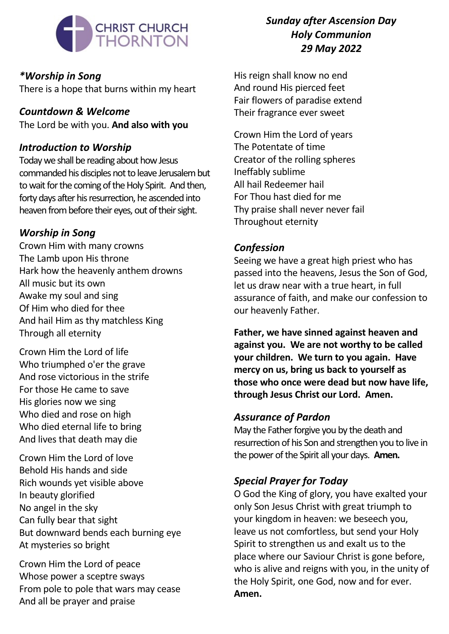# CHRIST CHURCH<br>THORNTON

### *\*Worship in Song*

There is a hope that burns within my heart

## *Countdown & Welcome*

The Lord be with you. **And also with you**

## *Introduction to Worship*

Todaywe shall be reading about howJesus commanded his disciples not to leave Jerusalem but to wait for the coming of the Holy Spirit. And then, forty days after his resurrection, he ascended into heaven from before their eyes, out of their sight.

# *Worship in Song*

Crown Him with many crowns The Lamb upon His throne Hark how the heavenly anthem drowns All music but its own Awake my soul and sing Of Him who died for thee And hail Him as thy matchless King Through all eternity

Crown Him the Lord of life Who triumphed o'er the grave And rose victorious in the strife For those He came to save His glories now we sing Who died and rose on high Who died eternal life to bring And lives that death may die

Crown Him the Lord of love Behold His hands and side Rich wounds yet visible above In beauty glorified No angel in the sky Can fully bear that sight But downward bends each burning eye At mysteries so bright

Crown Him the Lord of peace Whose power a sceptre sways From pole to pole that wars may cease And all be prayer and praise

# *Sunday after Ascension Day Holy Communion 29 May 2022*

His reign shall know no end And round His pierced feet Fair flowers of paradise extend Their fragrance ever sweet

Crown Him the Lord of years The Potentate of time Creator of the rolling spheres Ineffably sublime All hail Redeemer hail For Thou hast died for me Thy praise shall never never fail Throughout eternity

# *Confession*

Seeing we have a great high priest who has passed into the heavens, Jesus the Son of God, let us draw near with a true heart, in full assurance of faith, and make our confession to our heavenly Father.

**Father, we have sinned against heaven and against you. We are not worthy to be called your children. We turn to you again. Have mercy on us, bring us back to yourself as those who once were dead but now have life, through Jesus Christ our Lord. Amen.**

# *Assurance of Pardon*

May the Father forgive you by the death and resurrection of his Son and strengthen you to live in the power of the Spirit all your days. **Amen.** 

# *Special Prayer for Today*

O God the King of glory, you have exalted your only Son Jesus Christ with great triumph to your kingdom in heaven: we beseech you, leave us not comfortless, but send your Holy Spirit to strengthen us and exalt us to the place where our Saviour Christ is gone before, who is alive and reigns with you, in the unity of the Holy Spirit, one God, now and for ever. **Amen.**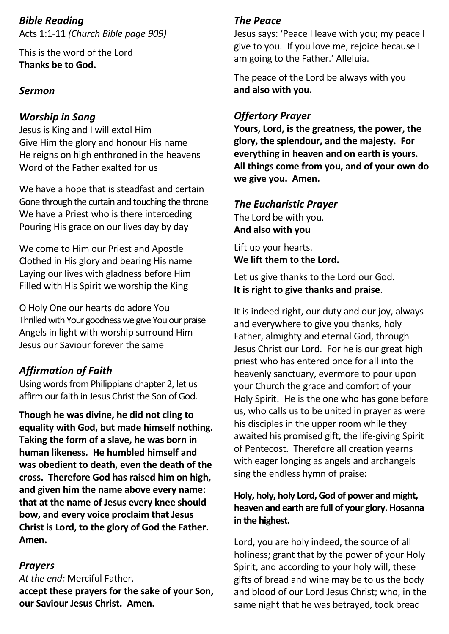#### *Bible Reading* Acts 1:1-11 *(Church Bible page 909)*

This is the word of the Lord **Thanks be to God.**

## *Sermon*

## *Worship in Song*

Jesus is King and I will extol Him Give Him the glory and honour His name He reigns on high enthroned in the heavens Word of the Father exalted for us

We have a hope that is steadfast and certain Gone through the curtain and touching the throne We have a Priest who is there interceding Pouring His grace on our lives day by day

We come to Him our Priest and Apostle Clothed in His glory and bearing His name Laying our lives with gladness before Him Filled with His Spirit we worship the King

O Holy One our hearts do adore You Thrilled with Your goodness we give You our praise Angels in light with worship surround Him Jesus our Saviour forever the same

# *Affirmation of Faith*

Using words from Philippians chapter 2, let us affirm our faith in Jesus Christ the Son of God.

**Though he was divine, he did not cling to equality with God, but made himself nothing. Taking the form of a slave, he was born in human likeness. He humbled himself and was obedient to death, even the death of the cross. Therefore God has raised him on high, and given him the name above every name: that at the name of Jesus every knee should bow, and every voice proclaim that Jesus Christ is Lord, to the glory of God the Father. Amen.**

# *Prayers*

*At the end:* Merciful Father, **accept these prayers for the sake of your Son, our Saviour Jesus Christ. Amen.**

# *The Peace*

Jesus says: 'Peace I leave with you; my peace I give to you. If you love me, rejoice because I am going to the Father.' Alleluia.

The peace of the Lord be always with you **and also with you.**

# *Offertory Prayer*

**Yours, Lord, is the greatness, the power, the glory, the splendour, and the majesty. For everything in heaven and on earth is yours. All things come from you, and of your own do we give you. Amen.**

## *The Eucharistic Prayer*

The Lord be with you. **And also with you**

Lift up your hearts. **We lift them to the Lord.**

Let us give thanks to the Lord our God. **It is right to give thanks and praise**.

It is indeed right, our duty and our joy, always and everywhere to give you thanks, holy Father, almighty and eternal God, through Jesus Christ our Lord. For he is our great high priest who has entered once for all into the heavenly sanctuary, evermore to pour upon your Church the grace and comfort of your Holy Spirit. He is the one who has gone before us, who calls us to be united in prayer as were his disciples in the upper room while they awaited his promised gift, the life-giving Spirit of Pentecost. Therefore all creation yearns with eager longing as angels and archangels sing the endless hymn of praise:

#### **Holy, holy, holy Lord,God of power and might, heaven and earth are full of your glory. Hosanna in the highest.**

Lord, you are holy indeed, the source of all holiness; grant that by the power of your Holy Spirit, and according to your holy will, these gifts of bread and wine may be to us the body and blood of our Lord Jesus Christ; who, in the same night that he was betrayed, took bread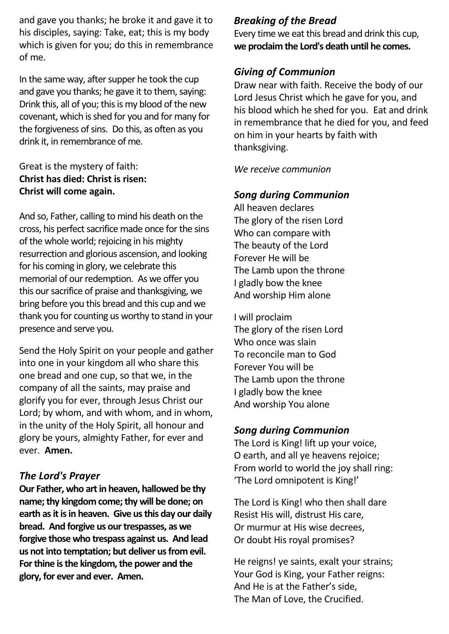and gave you thanks; he broke it and gave it to his disciples, saying: Take, eat; this is my body which is given for you; do this in remembrance of me.

In the same way, after supper he took the cup and gave you thanks; he gave it to them, saying: Drink this, all of you; this is my blood of the new covenant, which is shed for you and for many for the forgiveness of sins. Do this, as often as you drink it, in remembrance of me.

#### Great is the mystery of faith: **Christ has died: Christ is risen: Christ will come again.**

And so, Father, calling to mind his death on the cross, his perfect sacrifice made once for the sins of the whole world; rejoicing in his mighty resurrection and glorious ascension, and looking for his coming in glory, we celebrate this memorial of our redemption. As we offer you this our sacrifice of praise and thanksgiving, we bring before you this bread and this cup and we thank you for counting us worthy to stand in your presence and serve you.

Send the Holy Spirit on your people and gather into one in your kingdom all who share this one bread and one cup, so that we, in the company of all the saints, may praise and glorify you for ever, through Jesus Christ our Lord; by whom, and with whom, and in whom, in the unity of the Holy Spirit, all honour and glory be yours, almighty Father, for ever and ever. **Amen.**

#### *The Lord's Prayer*

**Our Father, who artin heaven, hallowed be thy name;thy kingdom come;thy will be done; on earth asitisin heaven. Give usthis day our daily bread. And forgive us ourtrespasses, as we forgive those who trespass against us. And lead us notinto temptation; but deliver usfrom evil. For thine is the kingdom, the power and the glory, for ever and ever. Amen.**

# *Breaking of the Bread*

Every time we eat this bread and drink this cup, **we proclaim the Lord's death until he comes.**

### *Giving of Communion*

Draw near with faith. Receive the body of our Lord Jesus Christ which he gave for you, and his blood which he shed for you. Eat and drink in remembrance that he died for you, and feed on him in your hearts by faith with thanksgiving.

*We receive communion*

#### *Song during Communion*

All heaven declares The glory of the risen Lord Who can compare with The beauty of the Lord Forever He will be The Lamb upon the throne I gladly bow the knee And worship Him alone

I will proclaim The glory of the risen Lord Who once was slain To reconcile man to God Forever You will be The Lamb upon the throne I gladly bow the knee And worship You alone

#### *Song during Communion*

The Lord is King! lift up your voice, O earth, and all ye heavens rejoice; From world to world the joy shall ring: 'The Lord omnipotent is King!'

The Lord is King! who then shall dare Resist His will, distrust His care, Or murmur at His wise decrees, Or doubt His royal promises?

He reigns! ye saints, exalt your strains; Your God is King, your Father reigns: And He is at the Father's side, The Man of Love, the Crucified.